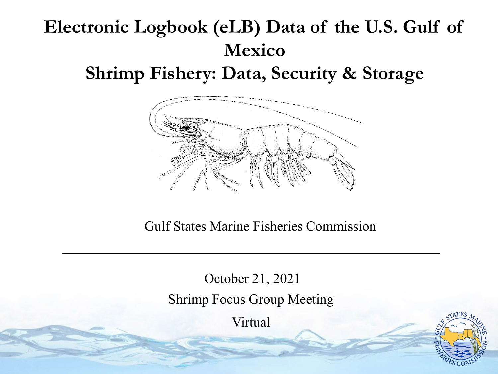#### **Electronic Logbook (eLB) Data of the U.S. Gulf of Mexico**

**Shrimp Fishery: Data, Security & Storage**



Gulf States Marine Fisheries Commission

October 21, 2021 Shrimp Focus Group Meeting

Virtual

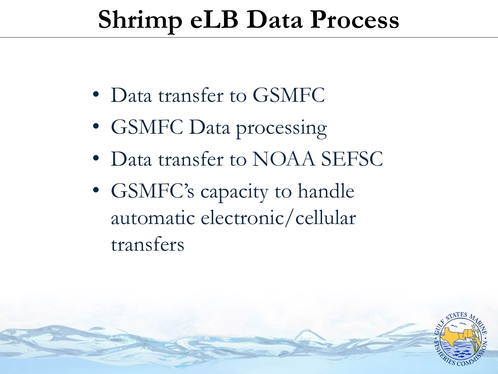# **Shrimp eLB Data Process**

- Data transfer to GSMFC
- GSMFC Data processing
- Data transfer to NOAA SEFSC
- GSMFC's capacity to handle automatic electronic/cellular transfers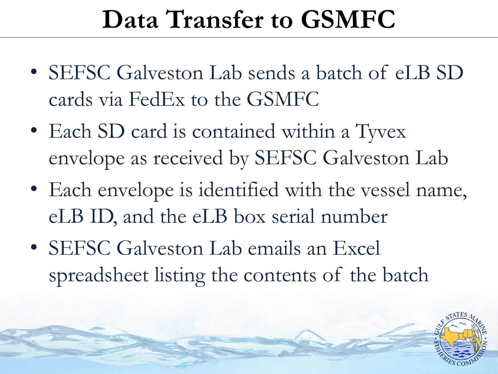### **Data Transfer to GSMFC**

- SEFSC Galveston Lab sends a batch of eLB SD cards via FedEx to the GSMFC
- Each SD card is contained within a Tyvex envelope as received by SEFSC Galveston Lab
- Each envelope is identified with the vessel name, eLB ID, and the eLB box serial number
- SEFSC Galveston Lab emails an Excel spreadsheet listing the contents of the batch

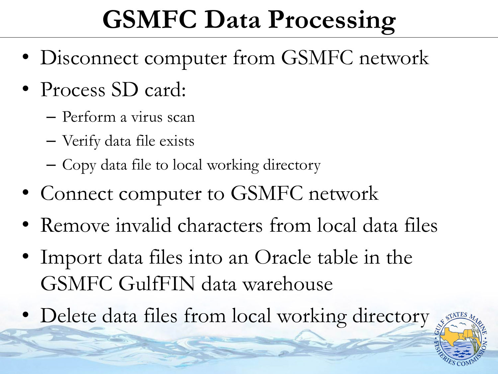# **GSMFC Data Processing**

- Disconnect computer from GSMFC network
- Process SD card:
	- Perform a virus scan
	- Verify data file exists
	- Copy data file to local working directory
- Connect computer to GSMFC network
- Remove invalid characters from local data files
- Import data files into an Oracle table in the GSMFC GulfFIN data warehouse
- Delete data files from local working directory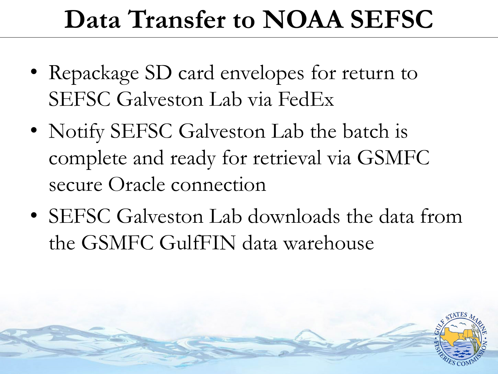# **Data Transfer to NOAA SEFSC**

- Repackage SD card envelopes for return to SEFSC Galveston Lab via FedEx
- Notify SEFSC Galveston Lab the batch is complete and ready for retrieval via GSMFC secure Oracle connection
- SEFSC Galveston Lab downloads the data from the GSMFC GulfFIN data warehouse

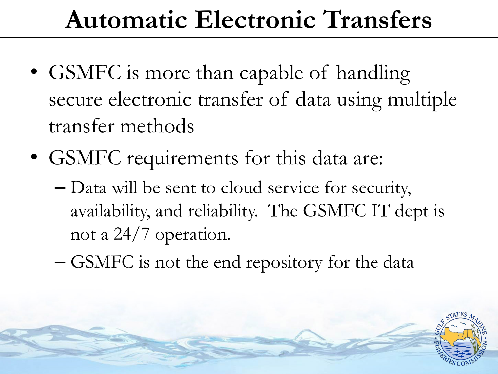# **Automatic Electronic Transfers**

- GSMFC is more than capable of handling secure electronic transfer of data using multiple transfer methods
- GSMFC requirements for this data are:
	- Data will be sent to cloud service for security, availability, and reliability. The GSMFC IT dept is not a 24/7 operation.
	- GSMFC is not the end repository for the data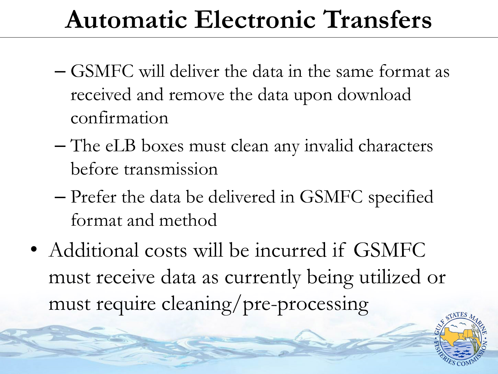# **Automatic Electronic Transfers**

- GSMFC will deliver the data in the same format as received and remove the data upon download confirmation
- The eLB boxes must clean any invalid characters before transmission
- Prefer the data be delivered in GSMFC specified format and method
- Additional costs will be incurred if GSMFC must receive data as currently being utilized or must require cleaning/pre-processing